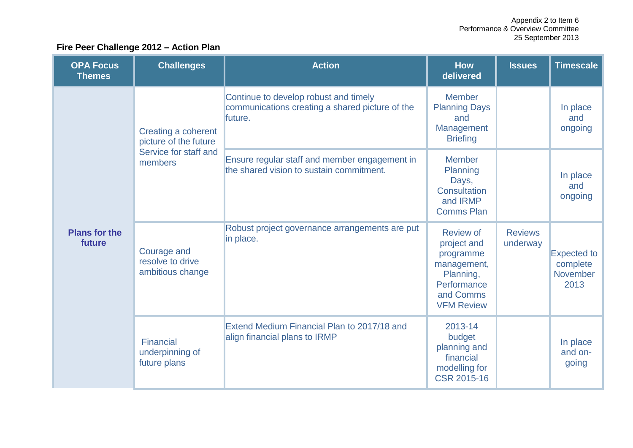## **Fire Peer Challenge 2012 – Action Plan**

| <b>OPA Focus</b><br><b>Themes</b> | <b>Challenges</b>                                                                | <b>Action</b>                                                                                       | <b>How</b><br>delivered                                                                                                   | <b>Issues</b>              | <b>Timescale</b>                                   |
|-----------------------------------|----------------------------------------------------------------------------------|-----------------------------------------------------------------------------------------------------|---------------------------------------------------------------------------------------------------------------------------|----------------------------|----------------------------------------------------|
| <b>Plans for the</b><br>future    | Creating a coherent<br>picture of the future<br>Service for staff and<br>members | Continue to develop robust and timely<br>communications creating a shared picture of the<br>future. | <b>Member</b><br><b>Planning Days</b><br>and<br>Management<br><b>Briefing</b>                                             |                            | In place<br>and<br>ongoing                         |
|                                   |                                                                                  | Ensure regular staff and member engagement in<br>the shared vision to sustain commitment.           | <b>Member</b><br>Planning<br>Days,<br>Consultation<br>and IRMP<br><b>Comms Plan</b>                                       |                            | In place<br>and<br>ongoing                         |
|                                   | <b>Courage and</b><br>resolve to drive<br>ambitious change                       | Robust project governance arrangements are put<br>in place.                                         | <b>Review of</b><br>project and<br>programme<br>management,<br>Planning,<br>Performance<br>and Comms<br><b>VFM Review</b> | <b>Reviews</b><br>underway | <b>Expected to</b><br>complete<br>November<br>2013 |
|                                   | Financial<br>underpinning of<br>future plans                                     | Extend Medium Financial Plan to 2017/18 and<br>align financial plans to IRMP                        | 2013-14<br>budget<br>planning and<br>financial<br>modelling for<br><b>CSR 2015-16</b>                                     |                            | In place<br>and on-<br>going                       |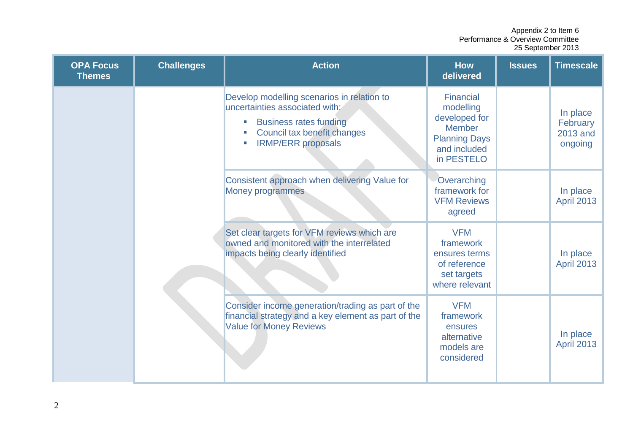| <b>OPA Focus</b><br><b>Themes</b> | <b>Challenges</b>                                                                                                                          | <b>Action</b>                                                                                                                                                             | <b>How</b><br>delivered                                                                                               | <b>Issues</b>                 | <b>Timescale</b>                            |
|-----------------------------------|--------------------------------------------------------------------------------------------------------------------------------------------|---------------------------------------------------------------------------------------------------------------------------------------------------------------------------|-----------------------------------------------------------------------------------------------------------------------|-------------------------------|---------------------------------------------|
|                                   |                                                                                                                                            | Develop modelling scenarios in relation to<br>uncertainties associated with:<br><b>Business rates funding</b><br>Council tax benefit changes<br><b>IRMP/ERR proposals</b> | <b>Financial</b><br>modelling<br>developed for<br><b>Member</b><br><b>Planning Days</b><br>and included<br>in PESTELO |                               | In place<br>February<br>2013 and<br>ongoing |
|                                   |                                                                                                                                            | Consistent approach when delivering Value for<br><b>Money programmes</b>                                                                                                  | Overarching<br>framework for<br><b>VFM Reviews</b><br>agreed                                                          |                               | In place<br><b>April 2013</b>               |
|                                   |                                                                                                                                            | Set clear targets for VFM reviews which are<br>owned and monitored with the interrelated<br>impacts being clearly identified                                              | <b>VFM</b><br>framework<br>ensures terms<br>of reference<br>set targets<br>where relevant                             |                               | In place<br><b>April 2013</b>               |
|                                   | Consider income generation/trading as part of the<br>financial strategy and a key element as part of the<br><b>Value for Money Reviews</b> | <b>VFM</b><br>framework<br>ensures<br>alternative<br>models are<br>considered                                                                                             |                                                                                                                       | In place<br><b>April 2013</b> |                                             |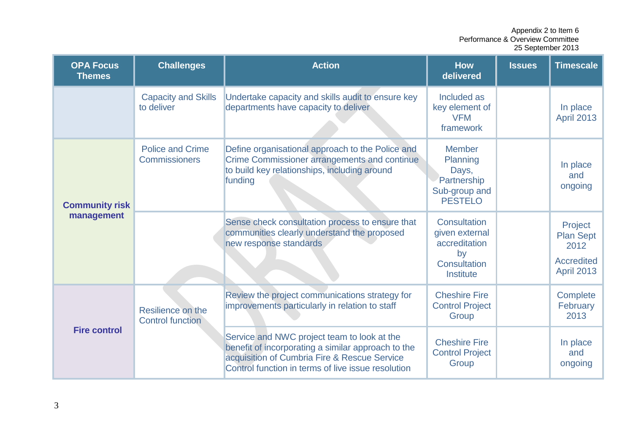| <b>OPA Focus</b><br><b>Themes</b>   | <b>Challenges</b>                            | <b>Action</b>                                                                                                                                                                                           | <b>How</b><br>delivered                                                              | <b>Issues</b> | <b>Timescale</b>                                                              |
|-------------------------------------|----------------------------------------------|---------------------------------------------------------------------------------------------------------------------------------------------------------------------------------------------------------|--------------------------------------------------------------------------------------|---------------|-------------------------------------------------------------------------------|
|                                     | <b>Capacity and Skills</b><br>to deliver     | Undertake capacity and skills audit to ensure key<br>departments have capacity to deliver                                                                                                               | Included as<br>key element of<br><b>VFM</b><br>framework                             |               | In place<br><b>April 2013</b>                                                 |
| <b>Community risk</b><br>management | <b>Police and Crime</b><br>Commissioners     | Define organisational approach to the Police and<br><b>Crime Commissioner arrangements and continue</b><br>to build key relationships, including around<br>funding                                      | <b>Member</b><br>Planning<br>Days,<br>Partnership<br>Sub-group and<br><b>PESTELO</b> |               | In place<br>and<br>ongoing                                                    |
|                                     |                                              | Sense check consultation process to ensure that<br>communities clearly understand the proposed<br>new response standards                                                                                | Consultation<br>given external<br>accreditation<br>by<br>Consultation<br>Institute   |               | Project<br><b>Plan Sept</b><br>2012<br><b>Accredited</b><br><b>April 2013</b> |
| <b>Fire control</b>                 | Resilience on the<br><b>Control function</b> | Review the project communications strategy for<br>improvements particularly in relation to staff                                                                                                        | <b>Cheshire Fire</b><br><b>Control Project</b><br>Group                              |               | Complete<br>February<br>2013                                                  |
|                                     |                                              | Service and NWC project team to look at the<br>benefit of incorporating a similar approach to the<br>acquisition of Cumbria Fire & Rescue Service<br>Control function in terms of live issue resolution | <b>Cheshire Fire</b><br><b>Control Project</b><br>Group                              |               | In place<br>and<br>ongoing                                                    |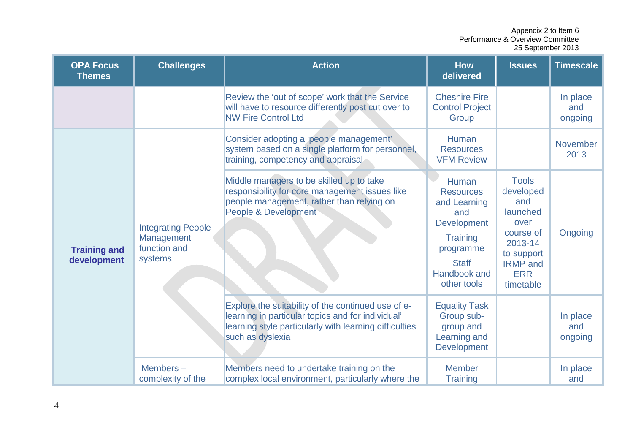| <b>OPA Focus</b><br><b>Themes</b>  | <b>Challenges</b>                                                  | <b>Action</b>                                                                                                                                                                         | <b>How</b><br>delivered                                                                                                                               | <b>Issues</b>                                                                                                                            | <b>Timescale</b>           |
|------------------------------------|--------------------------------------------------------------------|---------------------------------------------------------------------------------------------------------------------------------------------------------------------------------------|-------------------------------------------------------------------------------------------------------------------------------------------------------|------------------------------------------------------------------------------------------------------------------------------------------|----------------------------|
|                                    |                                                                    | Review the 'out of scope' work that the Service<br>will have to resource differently post cut over to<br><b>NW Fire Control Ltd</b>                                                   | <b>Cheshire Fire</b><br><b>Control Project</b><br>Group                                                                                               |                                                                                                                                          | In place<br>and<br>ongoing |
| <b>Training and</b><br>development |                                                                    | Consider adopting a 'people management'<br>system based on a single platform for personnel,<br>training, competency and appraisal                                                     | <b>Human</b><br><b>Resources</b><br><b>VFM Review</b>                                                                                                 |                                                                                                                                          | <b>November</b><br>2013    |
|                                    | <b>Integrating People</b><br>Management<br>function and<br>systems | Middle managers to be skilled up to take<br>responsibility for core management issues like<br>people management, rather than relying on<br>People & Development                       | Human<br><b>Resources</b><br>and Learning<br>and<br><b>Development</b><br><b>Training</b><br>programme<br><b>Staff</b><br>Handbook and<br>other tools | <b>Tools</b><br>developed<br>and<br>launched<br>over<br>course of<br>2013-14<br>to support<br><b>IRMP</b> and<br><b>ERR</b><br>timetable | Ongoing                    |
|                                    |                                                                    | Explore the suitability of the continued use of e-<br>learning in particular topics and for individual'<br>learning style particularly with learning difficulties<br>such as dyslexia | <b>Equality Task</b><br>Group sub-<br>group and<br>Learning and<br><b>Development</b>                                                                 |                                                                                                                                          | In place<br>and<br>ongoing |
|                                    | Members-<br>complexity of the                                      | Members need to undertake training on the<br>complex local environment, particularly where the                                                                                        | <b>Member</b><br><b>Training</b>                                                                                                                      |                                                                                                                                          | In place<br>and            |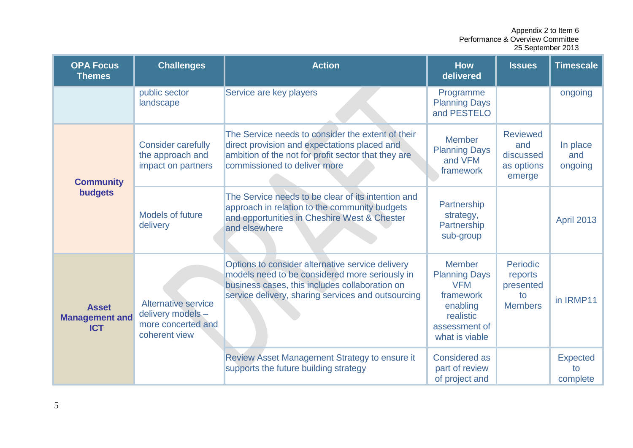| <b>OPA Focus</b><br><b>Themes</b>                   | <b>Challenges</b>                                                                      | <b>Action</b>                                                                                                                                                                                              | <b>How</b><br>delivered                                                                                                      | <b>Issues</b>                                                   | <b>Timescale</b>                  |
|-----------------------------------------------------|----------------------------------------------------------------------------------------|------------------------------------------------------------------------------------------------------------------------------------------------------------------------------------------------------------|------------------------------------------------------------------------------------------------------------------------------|-----------------------------------------------------------------|-----------------------------------|
|                                                     | public sector<br>landscape                                                             | Service are key players                                                                                                                                                                                    | Programme<br><b>Planning Days</b><br>and PESTELO                                                                             |                                                                 | ongoing                           |
| <b>Community</b><br>budgets                         | <b>Consider carefully</b><br>the approach and<br>impact on partners                    | The Service needs to consider the extent of their<br>direct provision and expectations placed and<br>ambition of the not for profit sector that they are<br>commissioned to deliver more                   | <b>Member</b><br><b>Planning Days</b><br>and VFM<br>framework                                                                | <b>Reviewed</b><br>and<br>discussed<br>as options<br>emerge     | In place<br>and<br>ongoing        |
|                                                     | Models of future<br>delivery                                                           | The Service needs to be clear of its intention and<br>approach in relation to the community budgets<br>and opportunities in Cheshire West & Chester<br>and elsewhere                                       | Partnership<br>strategy,<br>Partnership<br>sub-group                                                                         |                                                                 | <b>April 2013</b>                 |
| <b>Asset</b><br><b>Management and</b><br><b>ICT</b> | <b>Alternative service</b><br>delivery models -<br>more concerted and<br>coherent view | Options to consider alternative service delivery<br>models need to be considered more seriously in<br>business cases, this includes collaboration on<br>service delivery, sharing services and outsourcing | <b>Member</b><br><b>Planning Days</b><br><b>VFM</b><br>framework<br>enabling<br>realistic<br>assessment of<br>what is viable | <b>Periodic</b><br>reports<br>presented<br>to<br><b>Members</b> | in IRMP11                         |
|                                                     |                                                                                        | Review Asset Management Strategy to ensure it<br>supports the future building strategy                                                                                                                     | <b>Considered as</b><br>part of review<br>of project and                                                                     |                                                                 | <b>Expected</b><br>tο<br>complete |